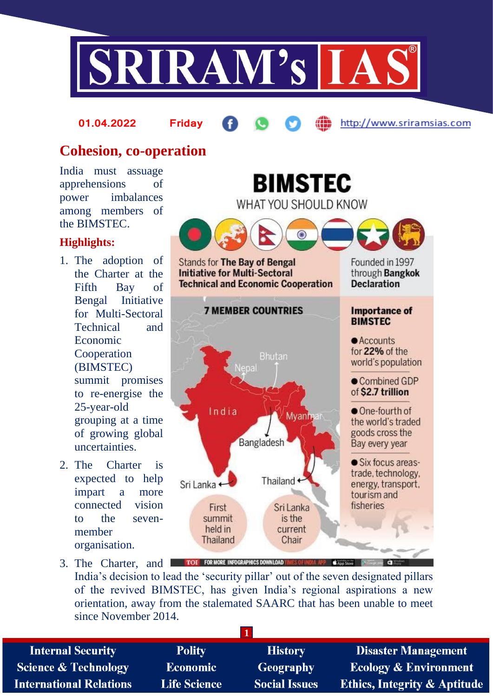

# **Cohesion, co-operation**

**01.04.2022 Friday**

India must assuage apprehensions of power imbalances among members of the BIMSTEC.

#### **Highlights:**

- 1. The adoption of the Charter at the Fifth Bay of Bengal Initiative for Multi-Sectoral Technical and Economic Cooperation (BIMSTEC) summit promises to re-energise the 25-year-old grouping at a time of growing global uncertainties.
- 2. The Charter is expected to help impart a more connected vision to the sevenmember organisation.



3. The Charter, and **TOT** FOR MORE INFOGRAPHICS DOWNLOAD INTESTITIBUTA APP Chapsisone India's decision to lead the 'security pillar' out of the seven designated pillars of the revived BIMSTEC, has given India's regional aspirations a new orientation, away from the stalemated SAARC that has been unable to meet since November 2014.

**1**

**Internal Security Science & Technology International Relations** 

**Polity Economic Life Science** 

**History Geography Social Issues** 

**Disaster Management Ecology & Environment Ethics, Integrity & Aptitude** 

http://www.sriramsias.com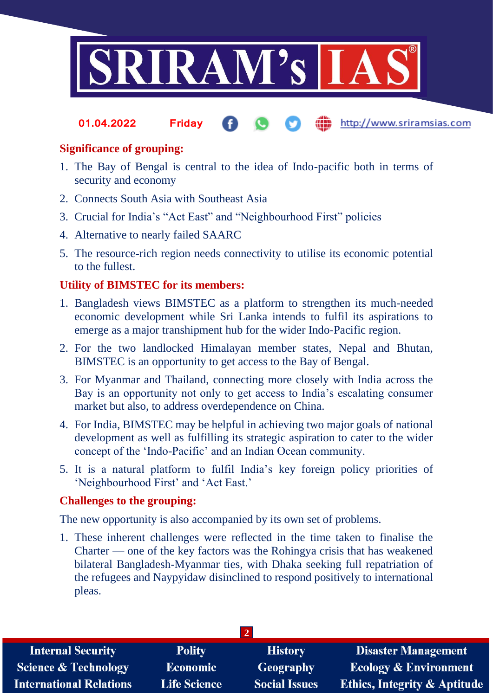

#### http://www.sriramsias.com **01.04.2022 Friday**

## **Significance of grouping:**

- 1. The Bay of Bengal is central to the idea of Indo-pacific both in terms of security and economy
- 2. Connects South Asia with Southeast Asia
- 3. Crucial for India's "Act East" and "Neighbourhood First" policies
- 4. Alternative to nearly failed SAARC
- 5. The resource-rich region needs connectivity to utilise its economic potential to the fullest.

### **Utility of BIMSTEC for its members:**

- 1. Bangladesh views BIMSTEC as a platform to strengthen its much-needed economic development while Sri Lanka intends to fulfil its aspirations to emerge as a major transhipment hub for the wider Indo-Pacific region.
- 2. For the two landlocked Himalayan member states, Nepal and Bhutan, BIMSTEC is an opportunity to get access to the Bay of Bengal.
- 3. For Myanmar and Thailand, connecting more closely with India across the Bay is an opportunity not only to get access to India's escalating consumer market but also, to address overdependence on China.
- 4. For India, BIMSTEC may be helpful in achieving two major goals of national development as well as fulfilling its strategic aspiration to cater to the wider concept of the 'Indo-Pacific' and an Indian Ocean community.
- 5. It is a natural platform to fulfil India's key foreign policy priorities of 'Neighbourhood First' and 'Act East.'

#### **Challenges to the grouping:**

The new opportunity is also accompanied by its own set of problems.

1. These inherent challenges were reflected in the time taken to finalise the Charter — one of the key factors was the Rohingya crisis that has weakened bilateral Bangladesh-Myanmar ties, with Dhaka seeking full repatriation of the refugees and Naypyidaw disinclined to respond positively to international pleas.

| <b>Internal Security</b>        | <b>Polity</b>       | <b>History</b>       | Disaster Management                     |  |  |
|---------------------------------|---------------------|----------------------|-----------------------------------------|--|--|
| <b>Science &amp; Technology</b> | <b>Economic</b>     | Geography            | <b>Ecology &amp; Environment</b>        |  |  |
| <b>International Relations</b>  | <b>Life Science</b> | <b>Social Issues</b> | <b>Ethics, Integrity &amp; Aptitude</b> |  |  |